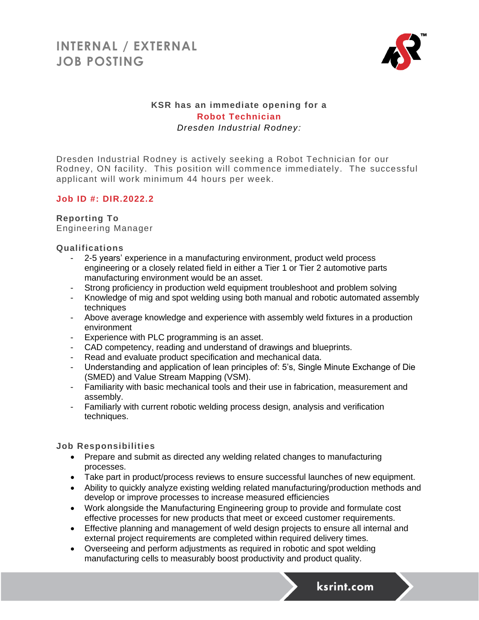## **INTERNAL / EXTERNAL JOB POSTING**



## **KSR has an immediate opening for a Robot Technician** *Dresden Industrial Rodney:*

Dresden Industrial Rodney is actively seeking a Robot Technician for our Rodney, ON facility. This position will commence immediately. The successful applicant will work minimum 44 hours per week.

### **Job ID #: DIR.2022.2**

### **Reporting To**

Engineering Manager

### **Qualifications**

- 2-5 years' experience in a manufacturing environment, product weld process engineering or a closely related field in either a Tier 1 or Tier 2 automotive parts manufacturing environment would be an asset.
- Strong proficiency in production weld equipment troubleshoot and problem solving
- Knowledge of mig and spot welding using both manual and robotic automated assembly techniques
- Above average knowledge and experience with assembly weld fixtures in a production environment
- Experience with PLC programming is an asset.
- CAD competency, reading and understand of drawings and blueprints.
- Read and evaluate product specification and mechanical data.
- Understanding and application of lean principles of: 5's, Single Minute Exchange of Die (SMED) and Value Stream Mapping (VSM).
- Familiarity with basic mechanical tools and their use in fabrication, measurement and assembly.
- Familiarly with current robotic welding process design, analysis and verification techniques.

### **Job Responsibilities**

- Prepare and submit as directed any welding related changes to manufacturing processes.
- Take part in product/process reviews to ensure successful launches of new equipment.
- Ability to quickly analyze existing welding related manufacturing/production methods and develop or improve processes to increase measured efficiencies
- Work alongside the Manufacturing Engineering group to provide and formulate cost effective processes for new products that meet or exceed customer requirements.
- Effective planning and management of weld design projects to ensure all internal and external project requirements are completed within required delivery times.
- Overseeing and perform adjustments as required in robotic and spot welding manufacturing cells to measurably boost productivity and product quality.